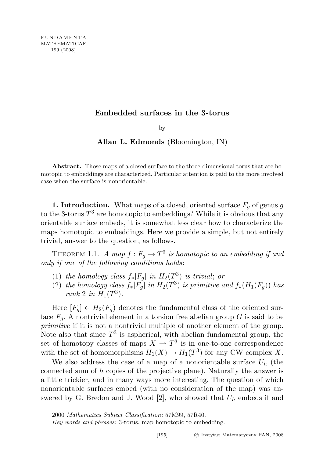# Embedded surfaces in the 3-torus

by

# Allan L. Edmonds (Bloomington, IN)

Abstract. Those maps of a closed surface to the three-dimensional torus that are homotopic to embeddings are characterized. Particular attention is paid to the more involved case when the surface is nonorientable.

**1. Introduction.** What maps of a closed, oriented surface  $F_q$  of genus  $g$ to the 3-torus  $T^3$  are homotopic to embeddings? While it is obvious that any orientable surface embeds, it is somewhat less clear how to characterize the maps homotopic to embeddings. Here we provide a simple, but not entirely trivial, answer to the question, as follows.

THEOREM 1.1. A map  $f: F_g \to T^3$  is homotopic to an embedding if and only if one of the following conditions holds:

- (1) the homology class  $f_*[F_g]$  in  $H_2(T^3)$  is trivial; or
- (2) the homology class  $f_*[F_g]$  in  $H_2(T^3)$  is primitive and  $f_*(H_1(F_g))$  has rank 2 in  $H_1(T^3)$ .

Here  $[F_q] \in H_2(F_q)$  denotes the fundamental class of the oriented surface  $F_q$ . A nontrivial element in a torsion free abelian group G is said to be primitive if it is not a nontrivial multiple of another element of the group. Note also that since  $T^3$  is aspherical, with abelian fundamental group, the set of homotopy classes of maps  $X \to T^3$  is in one-to-one correspondence with the set of homomorphisms  $H_1(X) \to H_1(T^3)$  for any CW complex X.

We also address the case of a map of a nonorientable surface  $U_h$  (the connected sum of  $h$  copies of the projective plane). Naturally the answer is a little trickier, and in many ways more interesting. The question of which nonorientable surfaces embed (with no consideration of the map) was answered by G. Bredon and J. Wood [2], who showed that  $U_h$  embeds if and

<sup>2000</sup> Mathematics Subject Classification: 57M99, 57R40.

Key words and phrases: 3-torus, map homotopic to embedding.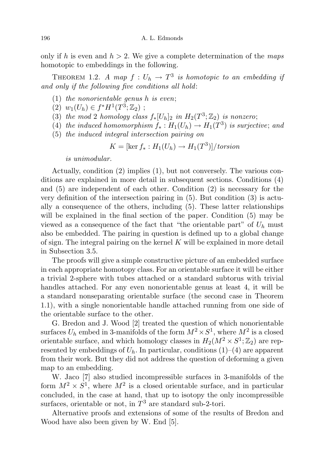only if h is even and  $h > 2$ . We give a complete determination of the maps homotopic to embeddings in the following.

THEOREM 1.2. A map  $f: U_h \to T^3$  is homotopic to an embedding if and only if the following five conditions all hold:

- (1) the nonorientable genus h is even;
- (2)  $w_1(U_h) \in f^*H^1(T^3; \mathbb{Z}_2)$ ;
- (3) the mod 2 homology class  $f_*[U_h]_2$  in  $H_2(T^3; \mathbb{Z}_2)$  is nonzero;
- (4) the induced homomorphism  $f_* : H_1(U_h) \to H_1(T^3)$  is surjective; and
- (5) the induced integral intersection pairing on

$$
K = [\ker f_* : H_1(U_h) \to H_1(T^3)]/torsion
$$

is unimodular.

Actually, condition (2) implies (1), but not conversely. The various conditions are explained in more detail in subsequent sections. Conditions (4) and (5) are independent of each other. Condition (2) is necessary for the very definition of the intersection pairing in (5). But condition (3) is actually a consequence of the others, including (5). These latter relationships will be explained in the final section of the paper. Condition (5) may be viewed as a consequence of the fact that "the orientable part" of  $U_h$  must also be embedded. The pairing in question is defined up to a global change of sign. The integral pairing on the kernel  $K$  will be explained in more detail in Subsection 3.5.

The proofs will give a simple constructive picture of an embedded surface in each appropriate homotopy class. For an orientable surface it will be either a trivial 2-sphere with tubes attached or a standard subtorus with trivial handles attached. For any even nonorientable genus at least 4, it will be a standard nonseparating orientable surface (the second case in Theorem 1.1), with a single nonorientable handle attached running from one side of the orientable surface to the other.

G. Bredon and J. Wood [2] treated the question of which nonorientable surfaces  $U_h$  embed in 3-manifolds of the form  $M^2 \times S^1$ , where  $M^2$  is a closed orientable surface, and which homology classes in  $H_2(M^2 \times S^1; \mathbb{Z}_2)$  are represented by embeddings of  $U_h$ . In particular, conditions (1)–(4) are apparent from their work. But they did not address the question of deforming a given map to an embedding.

W. Jaco [7] also studied incompressible surfaces in 3-manifolds of the form  $M^2 \times S^1$ , where  $M^2$  is a closed orientable surface, and in particular concluded, in the case at hand, that up to isotopy the only incompressible surfaces, orientable or not, in  $T^3$  are standard sub-2-tori.

Alternative proofs and extensions of some of the results of Bredon and Wood have also been given by W. End [5].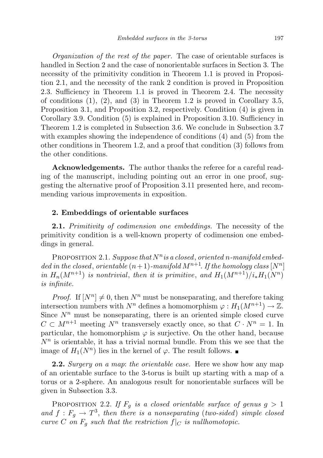Organization of the rest of the paper. The case of orientable surfaces is handled in Section 2 and the case of nonorientable surfaces in Section 3. The necessity of the primitivity condition in Theorem 1.1 is proved in Proposition 2.1, and the necessity of the rank 2 condition is proved in Proposition 2.3. Sufficiency in Theorem 1.1 is proved in Theorem 2.4. The necessity of conditions  $(1)$ ,  $(2)$ , and  $(3)$  in Theorem 1.2 is proved in Corollary 3.5, Proposition 3.1, and Proposition 3.2, respectively. Condition (4) is given in Corollary 3.9. Condition (5) is explained in Proposition 3.10. Sufficiency in Theorem 1.2 is completed in Subsection 3.6. We conclude in Subsection 3.7 with examples showing the independence of conditions (4) and (5) from the other conditions in Theorem 1.2, and a proof that condition (3) follows from the other conditions.

Acknowledgements. The author thanks the referee for a careful reading of the manuscript, including pointing out an error in one proof, suggesting the alternative proof of Proposition 3.11 presented here, and recommending various improvements in exposition.

# 2. Embeddings of orientable surfaces

**2.1.** Primitivity of codimension one embeddings. The necessity of the primitivity condition is a well-known property of codimension one embeddings in general.

PROPOSITION 2.1. Suppose that  $N^n$  is a closed, oriented n-manifold embedded in the closed, orientable  $(n+1)$ -manifold  $M^{n+1}$ . If the homology class  $[N^n]$ in  $H_n(M^{n+1})$  is nontrivial, then it is primitive, and  $H_1(M^{n+1})/i_*H_1(N^n)$ is infinite.

*Proof.* If  $[N^n] \neq 0$ , then  $N^n$  must be nonseparating, and therefore taking intersection numbers with  $N^n$  defines a homomorphism  $\varphi: H_1(M^{n+1}) \to \mathbb{Z}$ . Since  $N^n$  must be nonseparating, there is an oriented simple closed curve  $C \subset M^{n+1}$  meeting  $N^n$  transversely exactly once, so that  $C \cdot N^n = 1$ . In particular, the homomorphism  $\varphi$  is surjective. On the other hand, because  $N<sup>n</sup>$  is orientable, it has a trivial normal bundle. From this we see that the image of  $H_1(N^n)$  lies in the kernel of  $\varphi$ . The result follows.

**2.2.** Surgery on a map: the orientable case. Here we show how any map of an orientable surface to the 3-torus is built up starting with a map of a torus or a 2-sphere. An analogous result for nonorientable surfaces will be given in Subsection 3.3.

PROPOSITION 2.2. If  $F_g$  is a closed orientable surface of genus  $g > 1$ and  $f: F_g \to T^3$ , then there is a nonseparating (two-sided) simple closed curve C on  $F_q$  such that the restriction  $f|_C$  is nullhomotopic.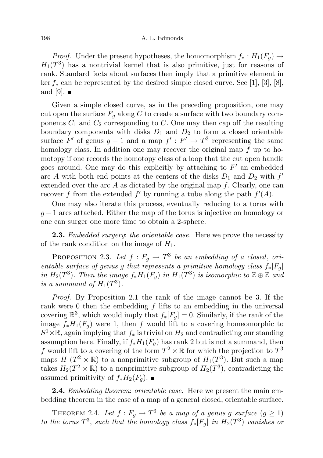*Proof.* Under the present hypotheses, the homomorphism  $f_* : H_1(F_q) \to$  $H_1(T^3)$  has a nontrivial kernel that is also primitive, just for reasons of rank. Standard facts about surfaces then imply that a primitive element in ker  $f_*$  can be represented by the desired simple closed curve. See [1], [3], [8], and [9].  $\blacksquare$ 

Given a simple closed curve, as in the preceding proposition, one may cut open the surface  $F_g$  along C to create a surface with two boundary components  $C_1$  and  $C_2$  corresponding to  $C$ . One may then cap off the resulting boundary components with disks  $D_1$  and  $D_2$  to form a closed orientable surface  $F'$  of genus  $g-1$  and a map  $f': F' \to T^3$  representing the same homology class. In addition one may recover the original map f up to homotopy if one records the homotopy class of a loop that the cut open handle goes around. One may do this explicitly by attaching to  $F'$  an embedded arc A with both end points at the centers of the disks  $D_1$  and  $D_2$  with  $f'$ extended over the arc  $A$  as dictated by the original map  $f$ . Clearly, one can recover f from the extended f' by running a tube along the path  $f'(A)$ .

One may also iterate this process, eventually reducing to a torus with  $g-1$  arcs attached. Either the map of the torus is injective on homology or one can surger one more time to obtain a 2-sphere.

**2.3.** Embedded surgery: the orientable case. Here we prove the necessity of the rank condition on the image of  $H_1$ .

PROPOSITION 2.3. Let  $f: F_g \to T^3$  be an embedding of a closed, orientable surface of genus g that represents a primitive homology class  $f_*[F_q]$ in  $H_2(T^3)$ . Then the image  $f_*H_1(F_g)$  in  $H_1(T^3)$  is isomorphic to  $\mathbb{Z} \oplus \mathbb{Z}$  and is a summand of  $H_1(T^3)$ .

Proof. By Proposition 2.1 the rank of the image cannot be 3. If the rank were 0 then the embedding  $f$  lifts to an embedding in the universal covering  $\mathbb{R}^3$ , which would imply that  $f_*[F_g] = 0$ . Similarly, if the rank of the image  $f_*H_1(F_q)$  were 1, then f would lift to a covering homeomorphic to  $S^1 \times \mathbb{R}$ , again implying that  $f_*$  is trivial on  $H_2$  and contradicting our standing assumption here. Finally, if  $f_*H_1(F_q)$  has rank 2 but is not a summand, then f would lift to a covering of the form  $T^2 \times \mathbb{R}$  for which the projection to  $T^3$ maps  $H_1(T^2 \times \mathbb{R})$  to a nonprimitive subgroup of  $H_1(T^3)$ . But such a map takes  $H_2(T^2 \times \mathbb{R})$  to a nonprimitive subgroup of  $H_2(T^3)$ , contradicting the assumed primitivity of  $f_*H_2(F_g)$ . ■

**2.4.** *Embedding theorem: orientable case.* Here we present the main embedding theorem in the case of a map of a general closed, orientable surface.

THEOREM 2.4. Let  $f: F_g \to T^3$  be a map of a genus g surface  $(g \ge 1)$ to the torus  $T^3$ , such that the homology class  $f_*[F_g]$  in  $H_2(T^3)$  vanishes or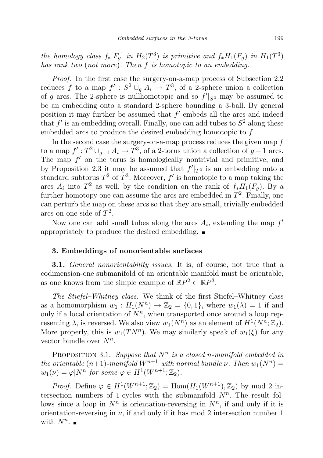the homology class  $f_*[F_g]$  in  $H_2(T^3)$  is primitive and  $f_*H_1(F_g)$  in  $H_1(T^3)$ has rank two (not more). Then f is homotopic to an embedding.

Proof. In the first case the surgery-on-a-map process of Subsection 2.2 reduces f to a map  $f' : S^2 \cup_g A_i \to T^3$ , of a 2-sphere union a collection of g arcs. The 2-sphere is nullhomotopic and so  $f'|_{S^2}$  may be assumed to be an embedding onto a standard 2-sphere bounding a 3-ball. By general position it may further be assumed that  $f'$  embeds all the arcs and indeed that  $f'$  is an embedding overall. Finally, one can add tubes to  $S^2$  along these embedded arcs to produce the desired embedding homotopic to f.

In the second case the surgery-on-a-map process reduces the given map  $f$ to a map  $f': T^2 \cup_{g-1} A_i \to T^3$ , of a 2-torus union a collection of  $g-1$  arcs. The map  $f'$  on the torus is homologically nontrivial and primitive, and by Proposition 2.3 it may be assumed that  $f'|_{T^2}$  is an embedding onto a standard subtorus  $T^2$  of  $T^3$ . Moreover,  $f'$  is homotopic to a map taking the arcs  $A_i$  into  $T^2$  as well, by the condition on the rank of  $f_*H_1(F_g)$ . By a further homotopy one can assume the arcs are embedded in  $T^2$ . Finally, one can perturb the map on these arcs so that they are small, trivially embedded arcs on one side of  $T^2$ .

Now one can add small tubes along the arcs  $A_i$ , extending the map  $f'$ appropriately to produce the desired embedding.

### 3. Embeddings of nonorientable surfaces

**3.1.** General nonorientability issues. It is, of course, not true that a codimension-one submanifold of an orientable manifold must be orientable, as one knows from the simple example of  $\mathbb{R}P^2 \subset \mathbb{R}P^3$ .

The Stiefel–Whitney class. We think of the first Stiefel–Whitney class as a homomorphism  $w_1 : H_1(N^n) \to \mathbb{Z}_2 = \{0,1\}$ , where  $w_1(\lambda) = 1$  if and only if a local orientation of  $N^n$ , when transported once around a loop representing  $\lambda$ , is reversed. We also view  $w_1(N^n)$  as an element of  $H^1(N^n;\mathbb{Z}_2)$ . More properly, this is  $w_1(T N^n)$ . We may similarly speak of  $w_1(\xi)$  for any vector bundle over  $N^n$ .

PROPOSITION 3.1. Suppose that  $N^n$  is a closed n-manifold embedded in the orientable  $(n+1)$ -manifold  $W^{n+1}$  with normal bundle  $\nu$ . Then  $w_1(N^n)$  =  $w_1(\nu) = \varphi | N^n$  for some  $\varphi \in H^1(W^{n+1}; \mathbb{Z}_2)$ .

*Proof.* Define  $\varphi \in H^1(W^{n+1}; \mathbb{Z}_2) = \text{Hom}(H_1(W^{n+1}), \mathbb{Z}_2)$  by mod 2 intersection numbers of 1-cycles with the submanifold  $N<sup>n</sup>$ . The result follows since a loop in  $N^n$  is orientation-reversing in  $N^n$ , if and only if it is orientation-reversing in  $\nu$ , if and only if it has mod 2 intersection number 1 with  $N^n$ .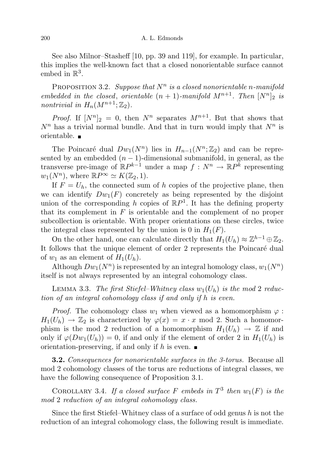See also Milnor–Stasheff [10, pp. 39 and 119], for example. In particular, this implies the well-known fact that a closed nonorientable surface cannot embed in  $\mathbb{R}^3$ .

PROPOSITION 3.2. Suppose that  $N^n$  is a closed nonorientable n-manifold embedded in the closed, orientable  $(n + 1)$ -manifold  $M^{n+1}$ . Then  $[N^n]_2$  is nontrivial in  $H_n(M^{n+1}; \mathbb{Z}_2)$ .

*Proof.* If  $[N^n]_2 = 0$ , then  $N^n$  separates  $M^{n+1}$ . But that shows that  $N^n$  has a trivial normal bundle. And that in turn would imply that  $N^n$  is orientable.

The Poincaré dual  $Dw_1(N^n)$  lies in  $H_{n-1}(N^n; \mathbb{Z}_2)$  and can be represented by an embedded  $(n - 1)$ -dimensional submanifold, in general, as the transverse pre-image of  $\mathbb{R}P^{k-1}$  under a map  $f: N^n \to \mathbb{R}P^k$  representing  $w_1(N^n)$ , where  $\mathbb{R}P^{\infty} \simeq K(\mathbb{Z}_2, 1)$ .

If  $F = U<sub>h</sub>$ , the connected sum of h copies of the projective plane, then we can identify  $Dw_1(F)$  concretely as being represented by the disjoint union of the corresponding h copies of  $\mathbb{R}P<sup>1</sup>$ . It has the defining property that its complement in  $F$  is orientable and the complement of no proper subcollection is orientable. With proper orientations on these circles, twice the integral class represented by the union is 0 in  $H_1(F)$ .

On the other hand, one can calculate directly that  $H_1(U_h) \approx \mathbb{Z}^{h-1} \oplus \mathbb{Z}_2$ . It follows that the unique element of order 2 represents the Poincaré dual of  $w_1$  as an element of  $H_1(U_h)$ .

Although  $Dw_1(N^n)$  is represented by an integral homology class,  $w_1(N^n)$ itself is not always represented by an integral cohomology class.

LEMMA 3.3. The first Stiefel–Whitney class  $w_1(U_h)$  is the mod 2 reduction of an integral cohomology class if and only if h is even.

*Proof.* The cohomology class  $w_1$  when viewed as a homomorphism  $\varphi$ :  $H_1(U_h) \to \mathbb{Z}_2$  is characterized by  $\varphi(x) = x \cdot x \mod 2$ . Such a homomorphism is the mod 2 reduction of a homomorphism  $H_1(U_h) \to \mathbb{Z}$  if and only if  $\varphi(Dw_1(U_h)) = 0$ , if and only if the element of order 2 in  $H_1(U_h)$  is orientation-preserving, if and only if h is even.  $\blacksquare$ 

**3.2.** Consequences for nonorientable surfaces in the 3-torus. Because all mod 2 cohomology classes of the torus are reductions of integral classes, we have the following consequence of Proposition 3.1.

COROLLARY 3.4. If a closed surface F embeds in  $T^3$  then  $w_1(F)$  is the mod 2 reduction of an integral cohomology class.

Since the first Stiefel–Whitney class of a surface of odd genus  $h$  is not the reduction of an integral cohomology class, the following result is immediate.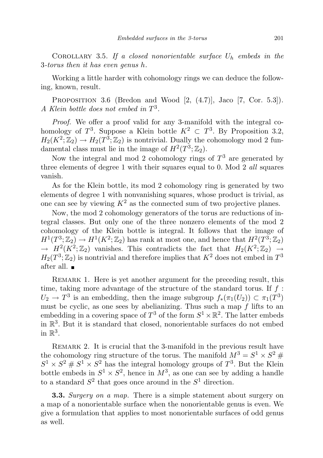COROLLARY 3.5. If a closed nonorientable surface  $U_h$  embeds in the 3-torus then it has even genus h.

Working a little harder with cohomology rings we can deduce the following, known, result.

PROPOSITION 3.6 (Bredon and Wood  $[2, (4.7)]$ , Jaco  $[7, \text{Cor. } 5.3]$ ). A Klein bottle does not embed in  $T^3$ .

Proof. We offer a proof valid for any 3-manifold with the integral cohomology of  $T^3$ . Suppose a Klein bottle  $K^2 \subset T^3$ . By Proposition 3.2,  $H_2(K^2; \mathbb{Z}_2) \to H_2(T^3; \mathbb{Z}_2)$  is nontrivial. Dually the cohomology mod 2 fundamental class must lie in the image of  $H^2(T^3; \mathbb{Z}_2)$ .

Now the integral and mod 2 cohomology rings of  $T^3$  are generated by three elements of degree 1 with their squares equal to 0. Mod 2 *all* squares vanish.

As for the Klein bottle, its mod 2 cohomology ring is generated by two elements of degree 1 with nonvanishing squares, whose product is trivial, as one can see by viewing  $K^2$  as the connected sum of two projective planes.

Now, the mod 2 cohomology generators of the torus are reductions of integral classes. But only one of the three nonzero elements of the mod 2 cohomology of the Klein bottle is integral. It follows that the image of  $H^1(T^3; \mathbb{Z}_2) \to H^1(K^2; \mathbb{Z}_2)$  has rank at most one, and hence that  $H^2(T^3; \mathbb{Z}_2)$  $\rightarrow$   $H^2(K^2; \mathbb{Z}_2)$  vanishes. This contradicts the fact that  $H_2(K^2; \mathbb{Z}_2) \rightarrow$  $H_2(T^3; \mathbb{Z}_2)$  is nontrivial and therefore implies that  $K^2$  does not embed in  $T^3$ after all.

REMARK 1. Here is yet another argument for the preceding result, this time, taking more advantage of the structure of the standard torus. If  $f$ :  $U_2 \to T^3$  is an embedding, then the image subgroup  $f_*(\pi_1(U_2)) \subset \pi_1(T^3)$ must be cyclic, as one sees by abelianizing. Thus such a map  $f$  lifts to an embedding in a covering space of  $T^3$  of the form  $S^1 \times \mathbb{R}^2$ . The latter embeds in R 3 . But it is standard that closed, nonorientable surfaces do not embed in  $\mathbb{R}^3$ .

REMARK 2. It is crucial that the 3-manifold in the previous result have the cohomology ring structure of the torus. The manifold  $M^3 = S^1 \times S^2$  #  $S^1 \times S^2 \# S^1 \times S^2$  has the integral homology groups of  $T^3$ . But the Klein bottle embeds in  $S^1 \times S^2$ , hence in  $M^3$ , as one can see by adding a handle to a standard  $S^2$  that goes once around in the  $S^1$  direction.

**3.3.** Surgery on a map. There is a simple statement about surgery on a map of a nonorientable surface when the nonorientable genus is even. We give a formulation that applies to most nonorientable surfaces of odd genus as well.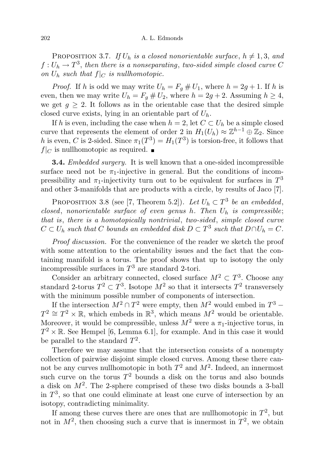PROPOSITION 3.7. If  $U_h$  is a closed nonorientable surface,  $h \neq 1, 3$ , and  $f:U_h\rightarrow T^3,$  then there is a nonseparating, two-sided simple closed curve C on  $U_h$  such that  $f|_C$  is nullhomotopic.

*Proof.* If h is odd we may write  $U_h = F_q \# U_1$ , where  $h = 2g + 1$ . If h is even, then we may write  $U_h = F_q \# U_2$ , where  $h = 2g + 2$ . Assuming  $h \geq 4$ , we get  $g \geq 2$ . It follows as in the orientable case that the desired simple closed curve exists, lying in an orientable part of  $U_h$ .

If h is even, including the case when  $h = 2$ , let  $C \subset U_h$  be a simple closed curve that represents the element of order 2 in  $H_1(U_h) \approx \mathbb{Z}^{h-1} \oplus \mathbb{Z}_2$ . Since h is even, C is 2-sided. Since  $\pi_1(T^3) = H_1(T^3)$  is torsion-free, it follows that  $f|_C$  is nullhomotopic as required.

**3.4.** *Embedded surgery*. It is well known that a one-sided incompressible surface need not be  $\pi_1$ -injective in general. But the conditions of incompressibility and  $\pi_1$ -injectivity turn out to be equivalent for surfaces in  $T^3$ and other 3-manifolds that are products with a circle, by results of Jaco [7].

PROPOSITION 3.8 (see [7, Theorem 5.2]). Let  $U_h \subset T^3$  be an embedded, closed, nonorientable surface of even genus h. Then  $U_h$  is compressible; that is, there is a homotopically nontrivial, two-sided, simple closed curve  $C \subset U_h$  such that C bounds an embedded disk  $D \subset T^3$  such that  $D \cap U_h = C$ .

Proof discussion. For the convenience of the reader we sketch the proof with some attention to the orientability issues and the fact that the containing manifold is a torus. The proof shows that up to isotopy the only incompressible surfaces in  $T^3$  are standard 2-tori.

Consider an arbitrary connected, closed surface  $M^2 \subset T^3$ . Choose any standard 2-torus  $T^2 \subset T^3$ . Isotope  $M^2$  so that it intersects  $T^2$  transversely with the minimum possible number of components of intersection.

If the intersection  $M^2 \cap T^2$  were empty, then  $M^2$  would embed in  $T^3$  –  $T^2 \cong T^2 \times \mathbb{R}$ , which embeds in  $\mathbb{R}^3$ , which means  $M^2$  would be orientable. Moreover, it would be compressible, unless  $M^2$  were a  $\pi_1$ -injective torus, in  $T^2 \times \mathbb{R}$ . See Hempel [6, Lemma 6.1], for example. And in this case it would be parallel to the standard  $T^2$ .

Therefore we may assume that the intersection consists of a nonempty collection of pairwise disjoint simple closed curves. Among these there cannot be any curves nullhomotopic in both  $T^2$  and  $M^2$ . Indeed, an innermost such curve on the torus  $T^2$  bounds a disk on the torus and also bounds a disk on  $M^2$ . The 2-sphere comprised of these two disks bounds a 3-ball in  $T<sup>3</sup>$ , so that one could eliminate at least one curve of intersection by an isotopy, contradicting minimality.

If among these curves there are ones that are nullhomotopic in  $T^2$ , but not in  $M^2$ , then choosing such a curve that is innermost in  $T^2$ , we obtain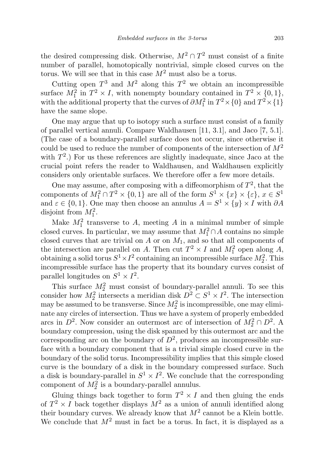the desired compressing disk. Otherwise,  $M^2 \cap T^2$  must consist of a finite number of parallel, homotopically nontrivial, simple closed curves on the torus. We will see that in this case  $M^2$  must also be a torus.

Cutting open  $T^3$  and  $M^2$  along this  $T^2$  we obtain an incompressible surface  $M_1^2$  in  $T^2 \times I$ , with nonempty boundary contained in  $T^2 \times \{0, 1\}$ , with the additional property that the curves of  $\partial M_1^2$  in  $T^2 \times \{0\}$  and  $T^2 \times \{1\}$ have the same slope.

One may argue that up to isotopy such a surface must consist of a family of parallel vertical annuli. Compare Waldhausen [11, 3.1], and Jaco [7, 5.1]. (The case of a boundary-parallel surface does not occur, since otherwise it could be used to reduce the number of components of the intersection of  $M^2$ with  $T^2$ .) For us these references are slightly inadequate, since Jaco at the crucial point refers the reader to Waldhausen, and Waldhausen explicitly considers only orientable surfaces. We therefore offer a few more details.

One may assume, after composing with a diffeomorphism of  $T^2$ , that the components of  $M_1^2 \cap T^2 \times \{0,1\}$  are all of the form  $S^1 \times \{x\} \times \{\varepsilon\}, x \in S^1$ and  $\varepsilon \in \{0, 1\}$ . One may then choose an annulus  $A = S^1 \times \{y\} \times I$  with  $\partial A$ disjoint from  $M_1^2$ .

Make  $M_1^2$  transverse to A, meeting A in a minimal number of simple closed curves. In particular, we may assume that  $M_1^2 \cap A$  contains no simple closed curves that are trivial on  $A$  or on  $M_1$ , and so that all components of the intersection are parallel on A. Then cut  $T^2 \times I$  and  $M_1^2$  open along A, obtaining a solid torus  $S^1 \times I^2$  containing an incompressible surface  $M_2^2$ . This incompressible surface has the property that its boundary curves consist of parallel longitudes on  $S^1 \times I^2$ .

This surface  $M_2^2$  must consist of boundary-parallel annuli. To see this consider how  $M_2^2$  intersects a meridian disk  $D^2 \subset S^1 \times I^2$ . The intersection may be assumed to be transverse. Since  $M_2^2$  is incompressible, one may eliminate any circles of intersection. Thus we have a system of properly embedded arcs in  $D^2$ . Now consider an outermost arc of intersection of  $M_2^2 \cap D^2$ . A boundary compression, using the disk spanned by this outermost arc and the corresponding arc on the boundary of  $D^2$ , produces an incompressible surface with a boundary component that is a trivial simple closed curve in the boundary of the solid torus. Incompressibility implies that this simple closed curve is the boundary of a disk in the boundary compressed surface. Such a disk is boundary-parallel in  $S^1 \times I^2$ . We conclude that the corresponding component of  $M_2^2$  is a boundary-parallel annulus.

Gluing things back together to form  $T^2 \times I$  and then gluing the ends of  $T^2 \times I$  back together displays  $M^2$  as a union of annuli identified along their boundary curves. We already know that  $M^2$  cannot be a Klein bottle. We conclude that  $M^2$  must in fact be a torus. In fact, it is displayed as a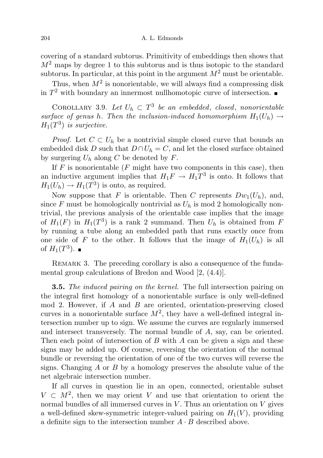covering of a standard subtorus. Primitivity of embeddings then shows that  $M<sup>2</sup>$  maps by degree 1 to this subtorus and is thus isotopic to the standard subtorus. In particular, at this point in the argument  $M^2$  must be orientable.

Thus, when  $M^2$  is nonorientable, we will always find a compressing disk in  $T<sup>2</sup>$  with boundary an innermost nullhomotopic curve of intersection.

COROLLARY 3.9. Let  $U_h \subset T^3$  be an embedded, closed, nonorientable surface of genus h. Then the inclusion-induced homomorphism  $H_1(U_h) \rightarrow$  $H_1(T^3)$  is surjective.

*Proof.* Let  $C \subset U_h$  be a nontrivial simple closed curve that bounds an embedded disk D such that  $D \cap U_h = C$ , and let the closed surface obtained by surgering  $U_h$  along C be denoted by F.

If  $F$  is nonorientable  $(F \text{ might have two components in this case})$ , then an inductive argument implies that  $H_1F \to H_1T^3$  is onto. It follows that  $H_1(U_h) \to H_1(T^3)$  is onto, as required.

Now suppose that F is orientable. Then C represents  $Dw_1(U_h)$ , and, since F must be homologically nontrivial as  $U_h$  is mod 2 homologically nontrivial, the previous analysis of the orientable case implies that the image of  $H_1(F)$  in  $H_1(T^3)$  is a rank 2 summand. Then  $U_h$  is obtained from F by running a tube along an embedded path that runs exactly once from one side of F to the other. It follows that the image of  $H_1(U_h)$  is all of  $H_1(T^3)$ .

REMARK 3. The preceding corollary is also a consequence of the fundamental group calculations of Bredon and Wood [2, (4.4)].

**3.5.** The induced pairing on the kernel. The full intersection pairing on the integral first homology of a nonorientable surface is only well-defined mod 2. However, if  $A$  and  $B$  are oriented, orientation-preserving closed curves in a nonorientable surface  $M^2$ , they have a well-defined integral intersection number up to sign. We assume the curves are regularly immersed and intersect transversely. The normal bundle of A, say, can be oriented. Then each point of intersection of  $B$  with  $A$  can be given a sign and these signs may be added up. Of course, reversing the orientation of the normal bundle or reversing the orientation of one of the two curves will reverse the signs. Changing  $A$  or  $B$  by a homology preserves the absolute value of the net algebraic intersection number.

If all curves in question lie in an open, connected, orientable subset  $V \subset M^2$ , then we may orient V and use that orientation to orient the normal bundles of all immersed curves in  $V$ . Thus an orientation on  $V$  gives a well-defined skew-symmetric integer-valued pairing on  $H_1(V)$ , providing a definite sign to the intersection number  $A \cdot B$  described above.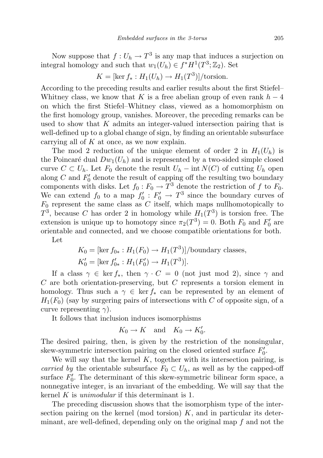Now suppose that  $f: U_h \to T^3$  is any map that induces a surjection on integral homology and such that  $w_1(U_h) \in f^*H^1(T^3; \mathbb{Z}_2)$ . Set

$$
K = [\ker f_* : H_1(U_h) \to H_1(T^3)]/\text{torsion}.
$$

According to the preceding results and earlier results about the first Stiefel– Whitney class, we know that K is a free abelian group of even rank  $h-4$ on which the first Stiefel–Whitney class, viewed as a homomorphism on the first homology group, vanishes. Moreover, the preceding remarks can be used to show that  $K$  admits an integer-valued intersection pairing that is well-defined up to a global change of sign, by finding an orientable subsurface carrying all of  $K$  at once, as we now explain.

The mod 2 reduction of the unique element of order 2 in  $H_1(U_h)$  is the Poincaré dual  $Dw_1(U_h)$  and is represented by a two-sided simple closed curve  $C \subset U_h$ . Let  $F_0$  denote the result  $U_h$  – int  $N(C)$  of cutting  $U_h$  open along C and  $F_0'$  denote the result of capping off the resulting two boundary components with disks. Let  $f_0: F_0 \to T^3$  denote the restriction of f to  $F_0$ . We can extend  $f_0$  to a map  $f'_0: F'_0 \to T^3$  since the boundary curves of  $F_0$  represent the same class as C itself, which maps nullhomotopically to  $T^3$ , because C has order 2 in homology while  $H_1(T^3)$  is torsion free. The extension is unique up to homotopy since  $\pi_2(T^3) = 0$ . Both  $F_0$  and  $F'_0$  are orientable and connected, and we choose compatible orientations for both.

Let

$$
K_0 = [\ker f_{0*} : H_1(F_0) \to H_1(T^3)]\text{/boundary classes},
$$
  

$$
K'_0 = [\ker f'_{0*} : H_1(F'_0) \to H_1(T^3)].
$$

If a class  $\gamma \in \text{ker } f_*$ , then  $\gamma \cdot C = 0$  (not just mod 2), since  $\gamma$  and  $C$  are both orientation-preserving, but  $C$  represents a torsion element in homology. Thus such a  $\gamma \in \ker f_*$  can be represented by an element of  $H_1(F_0)$  (say by surgering pairs of intersections with C of opposite sign, of a curve representing  $\gamma$ ).

It follows that inclusion induces isomorphisms

$$
K_0 \to K \quad \text{and} \quad K_0 \to K'_0.
$$

The desired pairing, then, is given by the restriction of the nonsingular, skew-symmetric intersection pairing on the closed oriented surface  $F'_0$ .

We will say that the kernel  $K$ , together with its intersection pairing, is *carried by* the orientable subsurface  $F_0 \subset U_h$ , as well as by the capped-off surface  $F'_0$ . The determinant of this skew-symmetric bilinear form space, a nonnegative integer, is an invariant of the embedding. We will say that the kernel K is *unimodular* if this determinant is 1.

The preceding discussion shows that the isomorphism type of the intersection pairing on the kernel (mod torsion)  $K$ , and in particular its determinant, are well-defined, depending only on the original map  $f$  and not the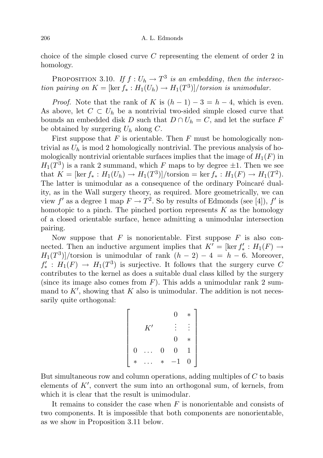choice of the simple closed curve C representing the element of order 2 in homology.

PROPOSITION 3.10. If  $f: U_h \to T^3$  is an embedding, then the intersection pairing on  $K = [\ker f_* : H_1(U_h) \to H_1(T^3)]$ /torsion is unimodular.

*Proof.* Note that the rank of K is  $(h-1) - 3 = h - 4$ , which is even. As above, let  $C \subset U_h$  be a nontrivial two-sided simple closed curve that bounds an embedded disk D such that  $D \cap U_h = C$ , and let the surface F be obtained by surgering  $U_h$  along C.

First suppose that  $F$  is orientable. Then  $F$  must be homologically nontrivial as  $U_h$  is mod 2 homologically nontrivial. The previous analysis of homologically nontrivial orientable surfaces implies that the image of  $H_1(F)$  in  $H_1(T^3)$  is a rank 2 summand, which F maps to by degree  $\pm 1$ . Then we see that  $K = [\ker f_* : H_1(U_h) \to H_1(T^3)]/\text{torsion} = \ker f_* : H_1(F) \to H_1(T^2)$ . The latter is unimodular as a consequence of the ordinary Poincaré duality, as in the Wall surgery theory, as required. More geometrically, we can view f' as a degree 1 map  $F \to T^2$ . So by results of Edmonds (see [4]), f' is homotopic to a pinch. The pinched portion represents  $K$  as the homology of a closed orientable surface, hence admitting a unimodular intersection pairing.

Now suppose that  $F$  is nonorientable. First suppose  $F$  is also connected. Then an inductive argument implies that  $K' = [\ker f'_* : H_1(F) \to$  $H_1(T^3)]$ /torsion is unimodular of rank  $(h-2)-4 = h-6$ . Moreover,  $f'_* : H_1(F) \to H_1(T^3)$  is surjective. It follows that the surgery curve C contributes to the kernel as does a suitable dual class killed by the surgery (since its image also comes from  $F$ ). This adds a unimodular rank 2 summand to  $K'$ , showing that  $K$  also is unimodular. The addition is not necessarily quite orthogonal:

$$
\begin{bmatrix}\n & & & 0 & * \\
 & K' & & \vdots & \vdots \\
 & & & 0 & * \\
0 & \dots & 0 & 0 & 1 \\
* & \dots & * & -1 & 0\n\end{bmatrix}
$$

But simultaneous row and column operations, adding multiples of C to basis elements of  $K'$ , convert the sum into an orthogonal sum, of kernels, from which it is clear that the result is unimodular.

It remains to consider the case when  $F$  is nonorientable and consists of two components. It is impossible that both components are nonorientable, as we show in Proposition 3.11 below.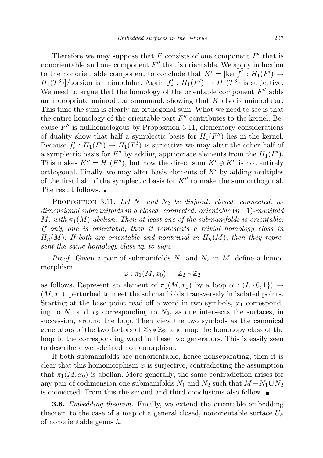Therefore we may suppose that  $F$  consists of one component  $F'$  that is nonorientable and one component  $F''$  that is orientable. We apply induction to the nonorientable component to conclude that  $K' = [\ker f'_* : H_1(F') \to$  $H_1(T^3)]$ /torsion is unimodular. Again  $f'_*: H_1(F') \to H_1(T^3)$  is surjective. We need to argue that the homology of the orientable component  $F''$  adds an appropriate unimodular summand, showing that  $K$  also is unimodular. This time the sum is clearly an orthogonal sum. What we need to see is that the entire homology of the orientable part  $F''$  contributes to the kernel. Because  $F''$  is nullhomologous by Proposition 3.11, elementary considerations of duality show that half a symplectic basis for  $H_1(F'')$  lies in the kernel. Because  $f'_*: H_1(F') \to H_1(T^3)$  is surjective we may alter the other half of a symplectic basis for  $F''$  by adding appropriate elements from the  $H_1(F')$ . This makes  $K'' = H_1(F'')$ , but now the direct sum  $K' \oplus K''$  is not entirely orthogonal. Finally, we may alter basis elements of  $K'$  by adding multiples of the first half of the symplectic basis for  $K''$  to make the sum orthogonal. The result follows. ■

PROPOSITION 3.11. Let  $N_1$  and  $N_2$  be disjoint, closed, connected, ndimensional submanifolds in a closed, connected, orientable  $(n+1)$ -manifold M, with  $\pi_1(M)$  abelian. Then at least one of the submanifolds is orientable. If only one is orientable, then it represents a trivial homology class in  $H_n(M)$ . If both are orientable and nontrivial in  $H_n(M)$ , then they represent the same homology class up to sign.

*Proof.* Given a pair of submanifolds  $N_1$  and  $N_2$  in M, define a homomorphism

$$
\varphi : \pi_1(M, x_0) \to \mathbb{Z}_2 * \mathbb{Z}_2
$$

as follows. Represent an element of  $\pi_1(M, x_0)$  by a loop  $\alpha : (I, \{0, 1\}) \rightarrow$  $(M, x_0)$ , perturbed to meet the submanifolds transversely in isolated points. Starting at the base point read off a word in two symbols,  $x_1$  corresponding to  $N_1$  and  $x_2$  corresponding to  $N_2$ , as one intersects the surfaces, in succession, around the loop. Then view the two symbols as the canonical generators of the two factors of  $\mathbb{Z}_2 * \mathbb{Z}_2$ , and map the homotopy class of the loop to the corresponding word in these two generators. This is easily seen to describe a well-defined homomorphism.

If both submanifolds are nonorientable, hence nonseparating, then it is clear that this homomorphism  $\varphi$  is surjective, contradicting the assumption that  $\pi_1(M, x_0)$  is abelian. More generally, the same contradiction arises for any pair of codimension-one submanifolds  $N_1$  and  $N_2$  such that  $M - N_1 \cup N_2$ is connected. From this the second and third conclusions also follow.

**3.6.** *Embedding theorem.* Finally, we extend the orientable embedding theorem to the case of a map of a general closed, nonorientable surface  $U_h$ of nonorientable genus h.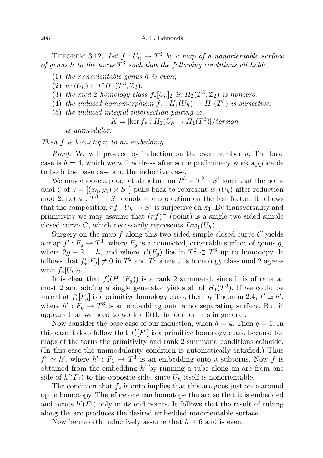THEOREM 3.12. Let  $f: U_h \to T^3$  be a map of a nonorientable surface of genus h to the torus  $T^3$  such that the following conditions all hold:

- (1) the nonorientable genus h is even;
- (2)  $w_1(U_h) \in f^*H^1(T^3; \mathbb{Z}_2);$
- (3) the mod 2 homology class  $f_*[U_h]_2$  in  $H_2(T^3; \mathbb{Z}_2)$  is nonzero;
- (4) the induced homomorphism  $f_*: H_1(U_h) \to H_1(T^3)$  is surjective;
- (5) the induced integral intersection pairing on

$$
K = [\ker f_* : H_1(U_h \to H_1(T^3)]/torsion
$$

is unimodular.

### Then f is homotopic to an embedding.

*Proof.* We will proceed by induction on the even number  $h$ . The base case is  $h = 4$ , which we will address after some preliminary work applicable to both the base case and the inductive case.

We may choose a product structure on  $T^3 = T^2 \times S^1$  such that the homdual  $\zeta$  of  $z = [(x_0, y_0) \times S^1]$  pulls back to represent  $w_1(U_h)$  after reduction mod 2. Let  $\pi: T^3 \to S^1$  denote the projection on the last factor. It follows that the composition  $\pi f : U_h \to S^1$  is surjective on  $\pi_1$ . By transversality and primitivity we may assume that  $(\pi f)^{-1}$ (point) is a single two-sided simple closed curve C, which necessarily represents  $Dw_1(U_h)$ .

Surgery on the map  $f$  along this two-sided simple closed curve  $C$  yields a map  $f': F_g \to T^3$ , where  $F_g$  is a connected, orientable surface of genus g, where  $2g + 2 = h$ , and where  $f'(F_g)$  lies in  $T^2 \subset T^3$  up to homotopy. It follows that  $f'_*[F_g] \neq 0$  in  $T^2$  and  $T^3$  since this homology class mod 2 agrees with  $f_*[U_h]_2$ .

It is clear that  $f'_*(H_1(F_g))$  is a rank 2 summand, since it is of rank at most 2 and adding a single generator yields all of  $H_1(T^3)$ . If we could be sure that  $f'_*[F_g]$  is a primitive homology class, then by Theorem 2.4,  $f' \simeq h'$ , where  $h': F_g \to T^3$  is an embedding onto a nonseparating surface. But it appears that we need to work a little harder for this in general.

Now consider the base case of our induction, when  $h = 4$ . Then  $q = 1$ . In this case it does follow that  $f_*'[F_1]$  is a primitive homology class, because for maps of the torus the primitivity and rank 2 summand conditions coincide. (In this case the unimodularity condition is automatically satisfied.) Thus  $f' \simeq h'$ , where  $h' : F_1 \to T^3$  is an embedding onto a subtorus. Now f is obtained from the embedding  $h'$  by running a tube along an arc from one side of  $h'(F_1)$  to the opposite side, since  $U_h$  itself is nonorientable.

The condition that  $f_*$  is onto implies that this arc goes just once around up to homotopy. Therefore one can homotope the arc so that it is embedded and meets  $h'(F')$  only in its end points. It follows that the result of tubing along the arc produces the desired embedded nonorientable surface.

Now henceforth inductively assume that  $h \geq 6$  and is even.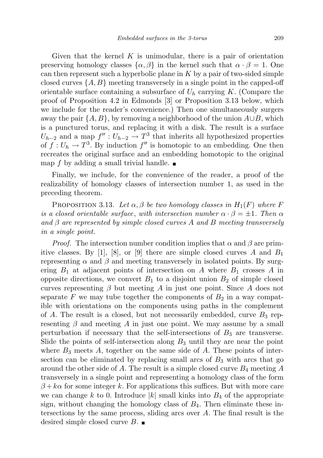Given that the kernel  $K$  is unimodular, there is a pair of orientation preserving homology classes  $\{\alpha, \beta\}$  in the kernel such that  $\alpha \cdot \beta = 1$ . One can then represent such a hyperbolic plane in  $K$  by a pair of two-sided simple closed curves  $\{A, B\}$  meeting transversely in a single point in the capped-off orientable surface containing a subsurface of  $U_h$  carrying K. (Compare the proof of Proposition 4.2 in Edmonds [3] or Proposition 3.13 below, which we include for the reader's convenience.) Then one simultaneously surgers away the pair  $\{A, B\}$ , by removing a neighborhood of the union  $A \cup B$ , which is a punctured torus, and replacing it with a disk. The result is a surface  $U_{h-2}$  and a map  $f'' : U_{h-2} \to T^3$  that inherits all hypothesized properties of  $f: U_h \to T^3$ . By induction  $f''$  is homotopic to an embedding. One then recreates the original surface and an embedding homotopic to the original map f by adding a small trivial handle.

Finally, we include, for the convenience of the reader, a proof of the realizability of homology classes of intersection number 1, as used in the preceding theorem.

PROPOSITION 3.13. Let  $\alpha, \beta$  be two homology classes in  $H_1(F)$  where F is a closed orientable surface, with intersection number  $\alpha \cdot \beta = \pm 1$ . Then  $\alpha$ and  $\beta$  are represented by simple closed curves A and B meeting transversely in a single point.

*Proof.* The intersection number condition implies that  $\alpha$  and  $\beta$  are primitive classes. By [1], [8], or [9] there are simple closed curves A and  $B_1$ representing  $\alpha$  and  $\beta$  and meeting transversely in isolated points. By surgering  $B_1$  at adjacent points of intersection on A where  $B_1$  crosses A in opposite directions, we convert  $B_1$  to a disjoint union  $B_2$  of simple closed curves representing  $\beta$  but meeting A in just one point. Since A does not separate F we may tube together the components of  $B_2$  in a way compatible with orientations on the components using paths in the complement of A. The result is a closed, but not necessarily embedded, curve  $B_3$  representing  $\beta$  and meeting A in just one point. We may assume by a small perturbation if necessary that the self-intersections of  $B_3$  are transverse. Slide the points of self-intersection along  $B_3$  until they are near the point where  $B_3$  meets A, together on the same side of A. These points of intersection can be eliminated by replacing small arcs of  $B_3$  with arcs that go around the other side of A. The result is a simple closed curve  $B_4$  meeting A transversely in a single point and representing a homology class of the form  $\beta + k\alpha$  for some integer k. For applications this suffices. But with more care we can change k to 0. Introduce  $|k|$  small kinks into  $B_4$  of the appropriate sign, without changing the homology class of  $B_4$ . Then eliminate these intersections by the same process, sliding arcs over A. The final result is the desired simple closed curve  $B$ .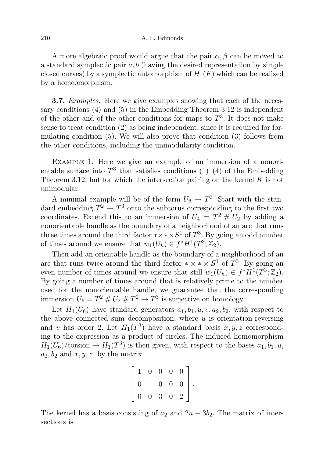A more algebraic proof would argue that the pair  $\alpha$ ,  $\beta$  can be moved to a standard symplectic pair  $a, b$  (having the desired representation by simple closed curves) by a symplectic automorphism of  $H_1(F)$  which can be realized by a homeomorphism.

**3.7.** Examples. Here we give examples showing that each of the necessary conditions (4) and (5) in the Embedding Theorem 3.12 is independent of the other and of the other conditions for maps to  $T^3$ . It does not make sense to treat condition (2) as being independent, since it is required for formulating condition (5). We will also prove that condition (3) follows from the other conditions, including the unimodularity condition.

EXAMPLE 1. Here we give an example of an immersion of a nonorientable surface into  $T^3$  that satisfies conditions  $(1)$ – $(4)$  of the Embedding Theorem 3.12, but for which the intersection pairing on the kernel  $K$  is not unimodular.

A minimal example will be of the form  $U_6 \to T^3$ . Start with the standard embedding  $T^2 \to T^3$  onto the subtorus corresponding to the first two coordinates. Extend this to an immersion of  $U_4 = T^2 \# U_2$  by adding a nonorientable handle as the boundary of a neighborhood of an arc that runs three times around the third factor  $\star \times \star \times S^1$  of  $T^3$ . By going an odd number of times around we ensure that  $w_1(U_h) \in f^*H^1(T^3; \mathbb{Z}_2)$ .

Then add an orientable handle as the boundary of a neighborhood of an arc that runs twice around the third factor  $\ast \times \ast \times S^1$  of  $T^3$ . By going an even number of times around we ensure that still  $w_1(U_h) \in f^*H^1(T^3; \mathbb{Z}_2)$ . By going a number of times around that is relatively prime to the number used for the nonorientable handle, we guarantee that the corresponding immersion  $U_6 = T^2 \# U_2 \# T^2 \to T^3$  is surjective on homology.

Let  $H_1(U_6)$  have standard generators  $a_1, b_1, u, v, a_2, b_2$ , with respect to the above connected sum decomposition, where  $u$  is orientation-reversing and v has order 2. Let  $H_1(T^3)$  have a standard basis  $x, y, z$  corresponding to the expression as a product of circles. The induced homomorphism  $H_1(U_6)/\text{torsion} \to H_1(T^3)$  is then given, with respect to the bases  $a_1, b_1, u$ ,  $a_2, b_2$  and  $x, y, z$ , by the matrix

$$
\left[\begin{array}{cccccc} 1 & 0 & 0 & 0 & 0 \\ 0 & 1 & 0 & 0 & 0 \\ 0 & 0 & 3 & 0 & 2 \end{array}\right].
$$

The kernel has a basis consisting of  $a_2$  and  $2u - 3b_2$ . The matrix of intersections is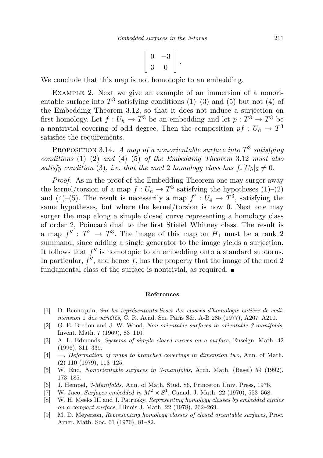$$
\left[\begin{array}{cc} 0 & -3 \\ 3 & 0 \end{array}\right].
$$

We conclude that this map is not homotopic to an embedding.

EXAMPLE 2. Next we give an example of an immersion of a nonorientable surface into  $T^3$  satisfying conditions  $(1)$ – $(3)$  and  $(5)$  but not  $(4)$  of the Embedding Theorem 3.12, so that it does not induce a surjection on first homology. Let  $f: U_h \to T^3$  be an embedding and let  $p: T^3 \to T^3$  be a nontrivial covering of odd degree. Then the composition  $pf: U_h \to T^3$ satisfies the requirements.

PROPOSITION 3.14. A map of a nonorientable surface into  $T^3$  satisfying conditions  $(1)-(2)$  and  $(4)-(5)$  of the Embedding Theorem 3.12 must also satisfy condition (3), i.e. that the mod 2 homology class has  $f_*[U_h]_2 \neq 0$ .

Proof. As in the proof of the Embedding Theorem one may surger away the kernel/torsion of a map  $f: U_h \to T^3$  satisfying the hypotheses (1)–(2) and (4)–(5). The result is necessarily a map  $f': U_4 \to T^3$ , satisfying the same hypotheses, but where the kernel/torsion is now 0. Next one may surger the map along a simple closed curve representing a homology class of order 2, Poincar´e dual to the first Stiefel–Whitney class. The result is a map  $f'' : T^2 \to T^3$ . The image of this map on  $H_1$  must be a rank 2 summand, since adding a single generator to the image yields a surjection. It follows that  $f''$  is homotopic to an embedding onto a standard subtorus. In particular,  $f''$ , and hence f, has the property that the image of the mod 2 fundamental class of the surface is nontrivial, as required.

#### References

- $[1]$  D. Bennequin, *Sur les représentants lisses des classes d'homologie entière de codi*mension 1 des variétés, C. R. Acad. Sci. Paris Sér. A-B 285 (1977), A207–A210.
- [2] G. E. Bredon and J. W. Wood, Non-orientable surfaces in orientable 3-manifolds, Invent. Math. 7 (1969), 83–110.
- [3] A. L. Edmonds, Systems of simple closed curves on a surface, Enseign. Math. 42 (1996), 311–339.
- [4] —, Deformation of maps to branched coverings in dimension two, Ann. of Math. (2) 110 (1979), 113–125.
- [5] W. End, Nonorientable surfaces in 3-manifolds, Arch. Math. (Basel) 59 (1992), 173–185.
- [6] J. Hempel, 3-Manifolds, Ann. of Math. Stud. 86, Princeton Univ. Press, 1976.
- [7] W. Jaco, *Surfaces embedded in*  $M^2 \times S^1$ , Canad. J. Math. 22 (1970), 553-568.
- [8] W. H. Meeks III and J. Patrusky, Representing homology classes by embedded circles on a compact surface, Illinois J. Math. 22 (1978), 262–269.
- [9] M. D. Meyerson, Representing homology classes of closed orientable surfaces, Proc. Amer. Math. Soc. 61 (1976), 81–82.